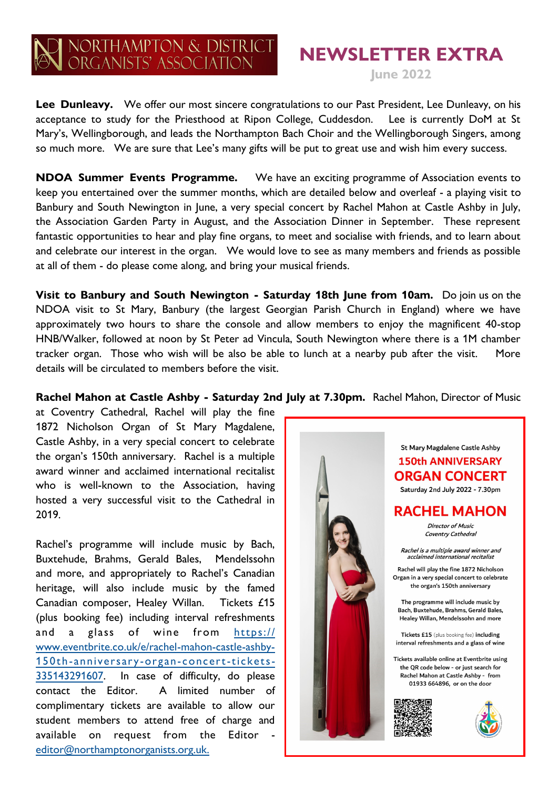## NORTHAMPTON & DISTRICT<br>ORGANISTS' ASSOCIATION

## **NEWSLETTER EXTRA**

**June 2022**

Lee Dunleavy. We offer our most sincere congratulations to our Past President, Lee Dunleavy, on his acceptance to study for the Priesthood at Ripon College, Cuddesdon. Lee is currently DoM at St Mary's, Wellingborough, and leads the Northampton Bach Choir and the Wellingborough Singers, among so much more. We are sure that Lee's many gifts will be put to great use and wish him every success.

**NDOA Summer Events Programme.** We have an exciting programme of Association events to keep you entertained over the summer months, which are detailed below and overleaf - a playing visit to Banbury and South Newington in June, a very special concert by Rachel Mahon at Castle Ashby in July, the Association Garden Party in August, and the Association Dinner in September. These represent fantastic opportunities to hear and play fine organs, to meet and socialise with friends, and to learn about and celebrate our interest in the organ. We would love to see as many members and friends as possible at all of them - do please come along, and bring your musical friends.

**Visit to Banbury and South Newington - Saturday 18th June from 10am.** Do join us on the NDOA visit to St Mary, Banbury (the largest Georgian Parish Church in England) where we have approximately two hours to share the console and allow members to enjoy the magnificent 40-stop HNB/Walker, followed at noon by St Peter ad Vincula, South Newington where there is a 1M chamber tracker organ. Those who wish will be also be able to lunch at a nearby pub after the visit. More details will be circulated to members before the visit.

**Rachel Mahon at Castle Ashby - Saturday 2nd July at 7.30pm.** Rachel Mahon, Director of Music

at Coventry Cathedral, Rachel will play the fine 1872 Nicholson Organ of St Mary Magdalene, Castle Ashby, in a very special concert to celebrate the organ's 150th anniversary. Rachel is a multiple award winner and acclaimed international recitalist who is well-known to the Association, having hosted a very successful visit to the Cathedral in 2019.

Rachel's programme will include music by Bach, Buxtehude, Brahms, Gerald Bales, Mendelssohn and more, and appropriately to Rachel's Canadian heritage, will also include music by the famed Canadian composer, Healey Willan. Tickets £15 (plus booking fee) including interval refreshments and a glass of wine from [https://](https://www.eventbrite.co.uk/e/rachel-mahon-castle-ashby-150th-anniversary-organ-concert-tickets-335143291607) [www.eventbrite.co.uk/e/rachel-mahon-castle-ashby-](https://www.eventbrite.co.uk/e/rachel-mahon-castle-ashby-150th-anniversary-organ-concert-tickets-335143291607)150th- anniversary -organ- [concert-tickets-](https://www.eventbrite.co.uk/e/rachel-mahon-castle-ashby-150th-anniversary-organ-concert-tickets-335143291607)[335143291607.](https://www.eventbrite.co.uk/e/rachel-mahon-castle-ashby-150th-anniversary-organ-concert-tickets-335143291607) In case of difficulty, do please contact the Editor. A limited number of complimentary tickets are available to allow our student members to attend free of charge and available on request from the Editor [editor@northamptonorganists.org.uk.](mailto:editor@northamptonorganists.org.uk)